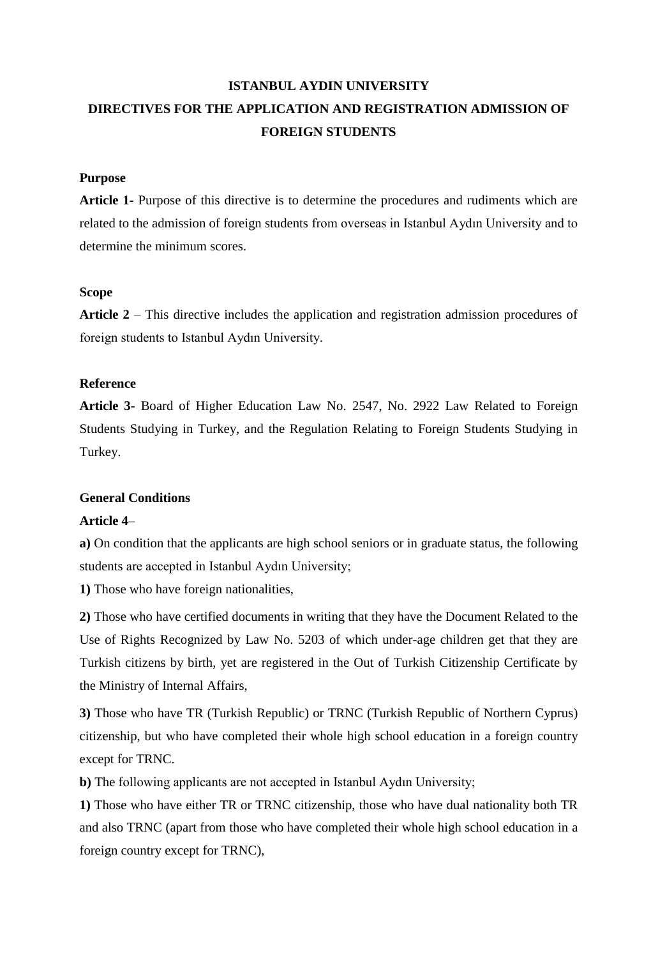# **ISTANBUL AYDIN UNIVERSITY DIRECTIVES FOR THE APPLICATION AND REGISTRATION ADMISSION OF FOREIGN STUDENTS**

### **Purpose**

**Article 1-** Purpose of this directive is to determine the procedures and rudiments which are related to the admission of foreign students from overseas in Istanbul Aydın University and to determine the minimum scores.

## **Scope**

**Article 2** – This directive includes the application and registration admission procedures of foreign students to Istanbul Aydın University.

## **Reference**

**Article 3-** Board of Higher Education Law No. 2547, No. 2922 Law Related to Foreign Students Studying in Turkey, and the Regulation Relating to Foreign Students Studying in Turkey.

### **General Conditions**

### **Article 4**–

**a)** On condition that the applicants are high school seniors or in graduate status, the following students are accepted in Istanbul Aydın University;

**1)** Those who have foreign nationalities,

**2)** Those who have certified documents in writing that they have the Document Related to the Use of Rights Recognized by Law No. 5203 of which under-age children get that they are Turkish citizens by birth, yet are registered in the Out of Turkish Citizenship Certificate by the Ministry of Internal Affairs,

**3)** Those who have TR (Turkish Republic) or TRNC (Turkish Republic of Northern Cyprus) citizenship, but who have completed their whole high school education in a foreign country except for TRNC.

**b)** The following applicants are not accepted in Istanbul Aydın University;

**1)** Those who have either TR or TRNC citizenship, those who have dual nationality both TR and also TRNC (apart from those who have completed their whole high school education in a foreign country except for TRNC),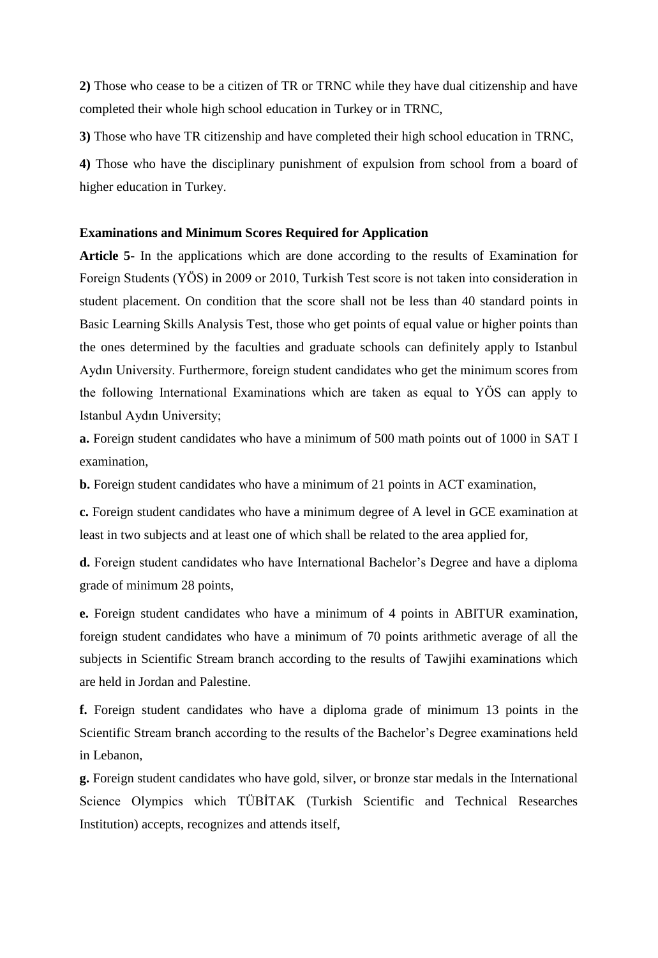**2)** Those who cease to be a citizen of TR or TRNC while they have dual citizenship and have completed their whole high school education in Turkey or in TRNC,

**3)** Those who have TR citizenship and have completed their high school education in TRNC,

**4)** Those who have the disciplinary punishment of expulsion from school from a board of higher education in Turkey.

### **Examinations and Minimum Scores Required for Application**

**Article 5-** In the applications which are done according to the results of Examination for Foreign Students (YÖS) in 2009 or 2010, Turkish Test score is not taken into consideration in student placement. On condition that the score shall not be less than 40 standard points in Basic Learning Skills Analysis Test, those who get points of equal value or higher points than the ones determined by the faculties and graduate schools can definitely apply to Istanbul Aydın University. Furthermore, foreign student candidates who get the minimum scores from the following International Examinations which are taken as equal to YÖS can apply to Istanbul Aydın University;

**a.** Foreign student candidates who have a minimum of 500 math points out of 1000 in SAT I examination,

**b.** Foreign student candidates who have a minimum of 21 points in ACT examination,

**c.** Foreign student candidates who have a minimum degree of A level in GCE examination at least in two subjects and at least one of which shall be related to the area applied for,

**d.** Foreign student candidates who have International Bachelor's Degree and have a diploma grade of minimum 28 points,

**e.** Foreign student candidates who have a minimum of 4 points in ABITUR examination, foreign student candidates who have a minimum of 70 points arithmetic average of all the subjects in Scientific Stream branch according to the results of Tawjihi examinations which are held in Jordan and Palestine.

**f.** Foreign student candidates who have a diploma grade of minimum 13 points in the Scientific Stream branch according to the results of the Bachelor's Degree examinations held in Lebanon,

**g.** Foreign student candidates who have gold, silver, or bronze star medals in the International Science Olympics which TÜBİTAK [\(Turkish Scientific and Technical Researches](http://tureng.com/search/turkish%20scientific%20and%20technical%20researches%20institution)  [Institution\)](http://tureng.com/search/turkish%20scientific%20and%20technical%20researches%20institution) accepts, recognizes and attends itself,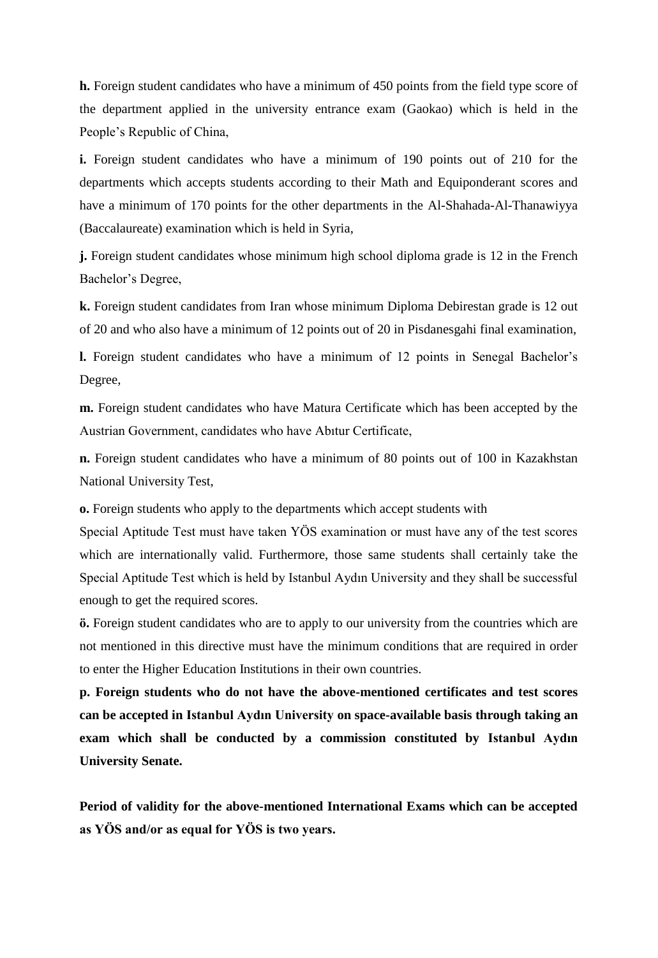**h.** Foreign student candidates who have a minimum of 450 points from the field type score of the department applied in the university entrance exam (Gaokao) which is held in the People's Republic of China,

**i.** Foreign student candidates who have a minimum of 190 points out of 210 for the departments which accepts students according to their Math and Equiponderant scores and have a minimum of 170 points for the other departments in the Al-Shahada-Al-Thanawiyya (Baccalaureate) examination which is held in Syria,

**j.** Foreign student candidates whose minimum high school diploma grade is 12 in the French Bachelor's Degree,

**k.** Foreign student candidates from Iran whose minimum Diploma Debirestan grade is 12 out of 20 and who also have a minimum of 12 points out of 20 in Pisdanesgahi final examination,

**l.** Foreign student candidates who have a minimum of 12 points in Senegal Bachelor's Degree,

**m.** Foreign student candidates who have Matura Certificate which has been accepted by the Austrian Government, candidates who have Abıtur Certificate,

**n.** Foreign student candidates who have a minimum of 80 points out of 100 in Kazakhstan National University Test,

**o.** Foreign students who apply to the departments which accept students with

Special Aptitude Test must have taken YÖS examination or must have any of the test scores which are internationally valid. Furthermore, those same students shall certainly take the Special Aptitude Test which is held by Istanbul Aydın University and they shall be successful enough to get the required scores.

**ö.** Foreign student candidates who are to apply to our university from the countries which are not mentioned in this directive must have the minimum conditions that are required in order to enter the Higher Education Institutions in their own countries.

**p. Foreign students who do not have the above-mentioned certificates and test scores can be accepted in Istanbul Aydın University on space-available basis through taking an exam which shall be conducted by a commission constituted by Istanbul Aydın University Senate.** 

**Period of validity for the above-mentioned International Exams which can be accepted as YÖS and/or as equal for YÖS is two years.**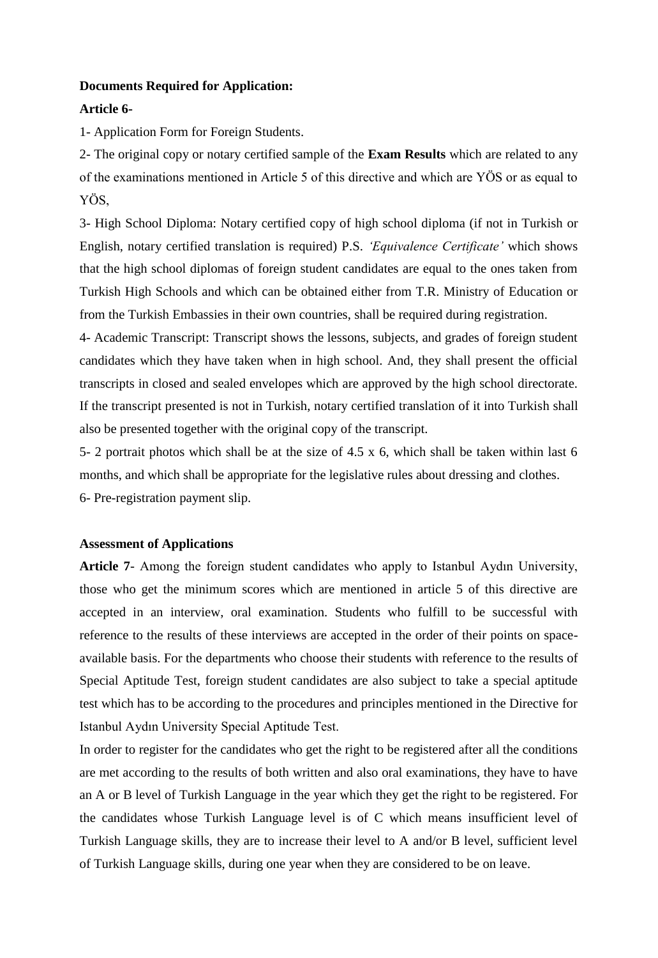### **Documents Required for Application:**

#### **Article 6-**

1- Application Form for Foreign Students.

2- The original copy or notary certified sample of the **Exam Results** which are related to any of the examinations mentioned in Article 5 of this directive and which are YÖS or as equal to YÖS,

3- High School Diploma: Notary certified copy of high school diploma (if not in Turkish or English, notary certified translation is required) P.S. *'Equivalence Certificate'* which shows that the high school diplomas of foreign student candidates are equal to the ones taken from Turkish High Schools and which can be obtained either from T.R. Ministry of Education or from the Turkish Embassies in their own countries, shall be required during registration.

4- Academic Transcript: Transcript shows the lessons, subjects, and grades of foreign student candidates which they have taken when in high school. And, they shall present the official transcripts in closed and sealed envelopes which are approved by the high school directorate. If the transcript presented is not in Turkish, notary certified translation of it into Turkish shall also be presented together with the original copy of the transcript.

5- 2 portrait photos which shall be at the size of 4.5 x 6, which shall be taken within last 6 months, and which shall be appropriate for the legislative rules about dressing and clothes. 6- Pre-registration payment slip.

### **Assessment of Applications**

**Article 7**- Among the foreign student candidates who apply to Istanbul Aydın University, those who get the minimum scores which are mentioned in article 5 of this directive are accepted in an interview, oral examination. Students who fulfill to be successful with reference to the results of these interviews are accepted in the order of their points on spaceavailable basis. For the departments who choose their students with reference to the results of Special Aptitude Test, foreign student candidates are also subject to take a special aptitude test which has to be according to the procedures and principles mentioned in the Directive for Istanbul Aydın University Special Aptitude Test.

In order to register for the candidates who get the right to be registered after all the conditions are met according to the results of both written and also oral examinations, they have to have an A or B level of Turkish Language in the year which they get the right to be registered. For the candidates whose Turkish Language level is of C which means insufficient level of Turkish Language skills, they are to increase their level to A and/or B level, sufficient level of Turkish Language skills, during one year when they are considered to be on leave.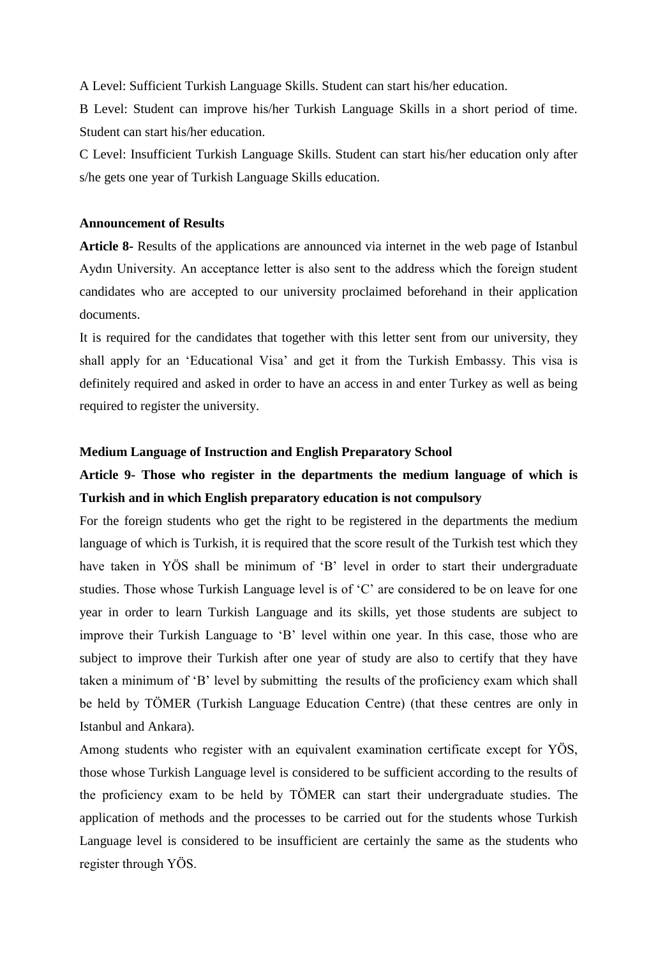A Level: Sufficient Turkish Language Skills. Student can start his/her education.

B Level: Student can improve his/her Turkish Language Skills in a short period of time. Student can start his/her education.

C Level: Insufficient Turkish Language Skills. Student can start his/her education only after s/he gets one year of Turkish Language Skills education.

## **Announcement of Results**

**Article 8-** Results of the applications are announced via internet in the web page of Istanbul Aydın University. An acceptance letter is also sent to the address which the foreign student candidates who are accepted to our university proclaimed beforehand in their application documents.

It is required for the candidates that together with this letter sent from our university, they shall apply for an 'Educational Visa' and get it from the Turkish Embassy. This visa is definitely required and asked in order to have an access in and enter Turkey as well as being required to register the university.

#### **Medium Language of Instruction and English Preparatory School**

## **Article 9- Those who register in the departments the medium language of which is Turkish and in which English preparatory education is not compulsory**

For the foreign students who get the right to be registered in the departments the medium language of which is Turkish, it is required that the score result of the Turkish test which they have taken in YÖS shall be minimum of 'B' level in order to start their undergraduate studies. Those whose Turkish Language level is of 'C' are considered to be on leave for one year in order to learn Turkish Language and its skills, yet those students are subject to improve their Turkish Language to 'B' level within one year. In this case, those who are subject to improve their Turkish after one year of study are also to certify that they have taken a minimum of 'B' level by submitting the results of the proficiency exam which shall be held by TÖMER (Turkish Language Education Centre) (that these centres are only in Istanbul and Ankara).

Among students who register with an equivalent examination certificate except for YÖS, those whose Turkish Language level is considered to be sufficient according to the results of the proficiency exam to be held by TÖMER can start their undergraduate studies. The application of methods and the processes to be carried out for the students whose Turkish Language level is considered to be insufficient are certainly the same as the students who register through YÖS.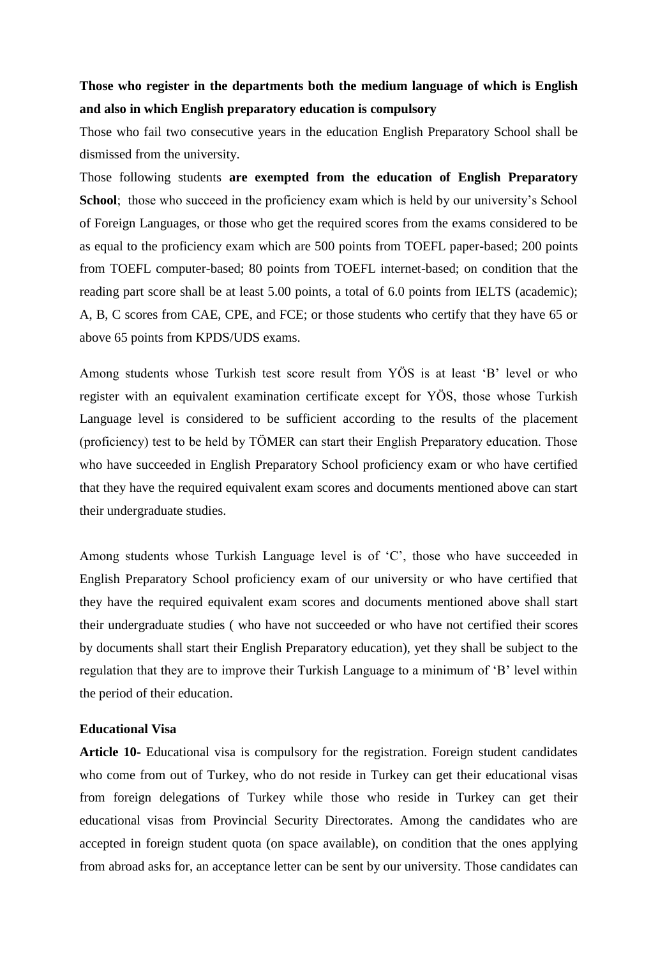## **Those who register in the departments both the medium language of which is English and also in which English preparatory education is compulsory**

Those who fail two consecutive years in the education English Preparatory School shall be dismissed from the university.

Those following students **are exempted from the education of English Preparatory School**; those who succeed in the proficiency exam which is held by our university's School of Foreign Languages, or those who get the required scores from the exams considered to be as equal to the proficiency exam which are 500 points from TOEFL paper-based; 200 points from TOEFL computer-based; 80 points from TOEFL internet-based; on condition that the reading part score shall be at least 5.00 points, a total of 6.0 points from IELTS (academic); A, B, C scores from CAE, CPE, and FCE; or those students who certify that they have 65 or above 65 points from KPDS/UDS exams.

Among students whose Turkish test score result from YÖS is at least 'B' level or who register with an equivalent examination certificate except for YÖS, those whose Turkish Language level is considered to be sufficient according to the results of the placement (proficiency) test to be held by TÖMER can start their English Preparatory education. Those who have succeeded in English Preparatory School proficiency exam or who have certified that they have the required equivalent exam scores and documents mentioned above can start their undergraduate studies.

Among students whose Turkish Language level is of 'C', those who have succeeded in English Preparatory School proficiency exam of our university or who have certified that they have the required equivalent exam scores and documents mentioned above shall start their undergraduate studies ( who have not succeeded or who have not certified their scores by documents shall start their English Preparatory education), yet they shall be subject to the regulation that they are to improve their Turkish Language to a minimum of 'B' level within the period of their education.

## **Educational Visa**

**Article 10-** Educational visa is compulsory for the registration. Foreign student candidates who come from out of Turkey, who do not reside in Turkey can get their educational visas from foreign delegations of Turkey while those who reside in Turkey can get their educational visas from Provincial Security Directorates. Among the candidates who are accepted in foreign student quota (on space available), on condition that the ones applying from abroad asks for, an acceptance letter can be sent by our university. Those candidates can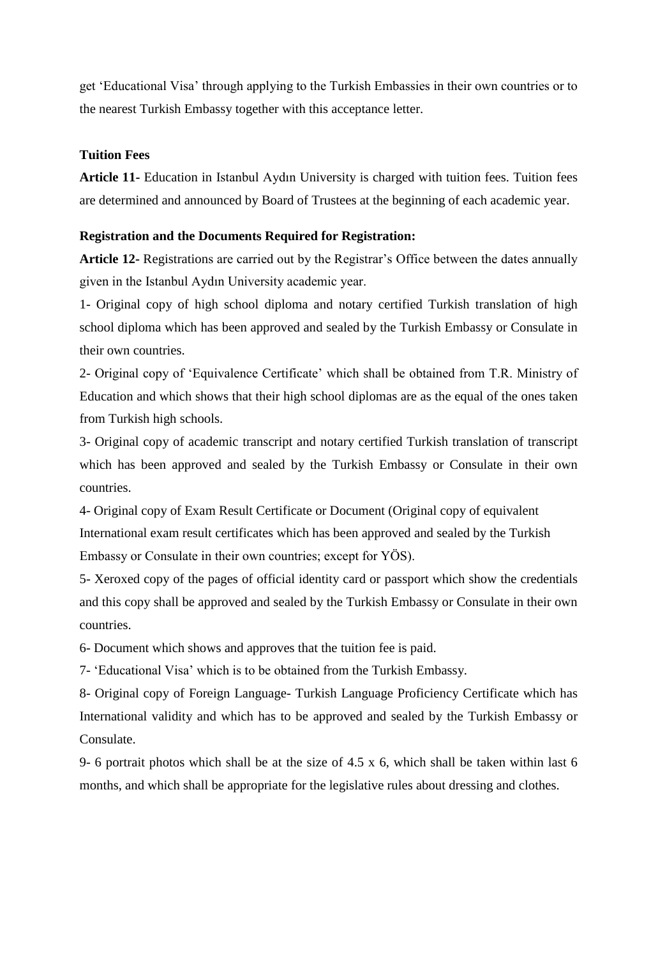get 'Educational Visa' through applying to the Turkish Embassies in their own countries or to the nearest Turkish Embassy together with this acceptance letter.

## **Tuition Fees**

**Article 11-** Education in Istanbul Aydın University is charged with tuition fees. Tuition fees are determined and announced by Board of Trustees at the beginning of each academic year.

## **Registration and the Documents Required for Registration:**

**Article 12-** Registrations are carried out by the Registrar's Office between the dates annually given in the Istanbul Aydın University academic year.

1- Original copy of high school diploma and notary certified Turkish translation of high school diploma which has been approved and sealed by the Turkish Embassy or Consulate in their own countries.

2- Original copy of 'Equivalence Certificate' which shall be obtained from T.R. Ministry of Education and which shows that their high school diplomas are as the equal of the ones taken from Turkish high schools.

3- Original copy of academic transcript and notary certified Turkish translation of transcript which has been approved and sealed by the Turkish Embassy or Consulate in their own countries.

4- Original copy of Exam Result Certificate or Document (Original copy of equivalent International exam result certificates which has been approved and sealed by the Turkish Embassy or Consulate in their own countries; except for YÖS).

5- Xeroxed copy of the pages of official identity card or passport which show the credentials and this copy shall be approved and sealed by the Turkish Embassy or Consulate in their own countries.

6- Document which shows and approves that the tuition fee is paid.

7- 'Educational Visa' which is to be obtained from the Turkish Embassy.

8- Original copy of Foreign Language- Turkish Language Proficiency Certificate which has International validity and which has to be approved and sealed by the Turkish Embassy or Consulate.

9- 6 portrait photos which shall be at the size of 4.5 x 6, which shall be taken within last 6 months, and which shall be appropriate for the legislative rules about dressing and clothes.